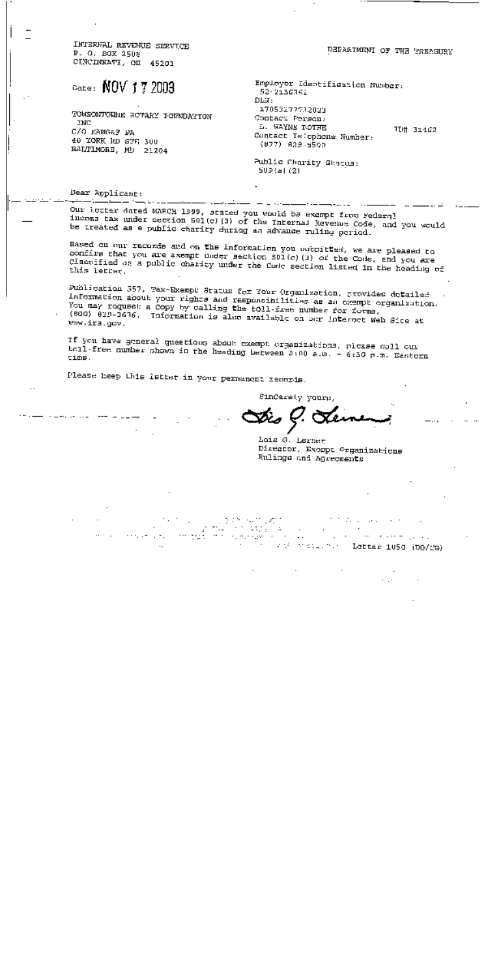INTERVAL REVENUE SERVICE P. O. BOX 2508 CINCIDEATI, OI 45201

# $_{\text{rate}}$ : NOV 17 2003

TOWSONTOWNE ROTARY FOUNDATION INC C/O KANGEF PA 40 TORK RD STR 300 BALTIMORE, MD 21204

Employer Edentification Number: 52-2136361

DEPARTMENT OF THE TREASURY

17053277732023 Contact Person: L. WAYNE POTHE TD# 31462 Contact Telephone Number: (877) 829-5500

Public Charity Shaqua:  $509(4)(2)$ 

#### Dear Applicant:

Our lotter dated MARCH 1999, stated you would be excmpt from Federal income tax under section 501(c) (3) of the Internal Revenue Code, and you would be treated as a public charity during an advance ruling period.

DLN:

Based on our records and on the Information you sound test, we are pleased to confirm that you are axempt under section 501(c)(3) of the Code, and you are Classified as a public charity under the Code section listed in the heading of this letter.

Publication 557, Tax-Exempl Status for Your Organization, provides detailed Information about your rights and responsibilities as an exempt organization. You may request a Copy by calling the toll-free number for forms. (500) 829-1636. Information is also available on our internet Web Sice at Www.irs.gov.

If you have general questions about exempt organizations, please doll our holl-free number shown in the heading between 5:00 a.m. - 6:50 p.m. Eastern time.

Please keep this Isthat in your permanent records.

SinCerety yours,

Lois @. Lernet Director, Except Organizations Rulings and Agreements

 $\mathcal{F}(\mathcal{F})$  and  $\mathcal{F}(\mathcal{F})$  . In Autogay.  $\sim$ interaction and Latter 105d (DO/CG)

5.25 Sunt